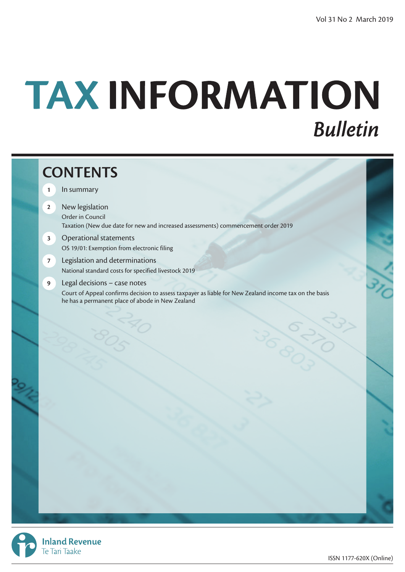# TAX INFORMATION **Bulletin**

# **CONTENTS 1** In summary

- **2** New legislation Order in Council Taxation (New due date for new and increased assessments) commencement order 2019
- **3** Operational statements OS 19/01: Exemption from electronic filing
- **7** Legislation and determinations National standard costs for specified livestock 2019
- **9** Legal decisions case notes Court of Appeal confirms decision to assess taxpayer as liable for New Zealand income tax on the basis he has a permanent place of abode in New Zealand



**Inland Revenue** Te Tari Taake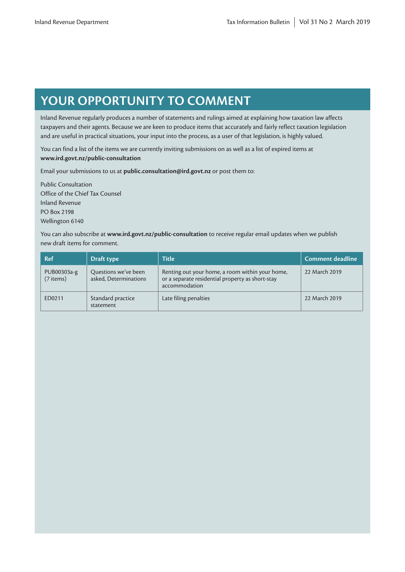# **YOUR OPPORTUNITY TO COMMENT**

Inland Revenue regularly produces a number of statements and rulings aimed at explaining how taxation law affects taxpayers and their agents. Because we are keen to produce items that accurately and fairly reflect taxation legislation and are useful in practical situations, your input into the process, as a user of that legislation, is highly valued.

You can find a list of the items we are currently inviting submissions on as well as a list of expired items at **[www.ird.govt.nz/public-consultation](http://www.ird.govt.nz/public-consultation)**

Email your submissions to us at **public.consultation@ird.govt.nz** or post them to:

Public Consultation Office of the Chief Tax Counsel Inland Revenue PO Box 2198 Wellington 6140

You can also subscribe at **[www.ird.govt.nz/public-consultation](http://www.ird.govt.nz/public-consultation)** to receive regular email updates when we publish new draft items for comment.

| <b>Ref</b>                 | Draft type                                    | <b>Title</b>                                                                                                         | Comment deadline |
|----------------------------|-----------------------------------------------|----------------------------------------------------------------------------------------------------------------------|------------------|
| PUB00303a-g<br>$(7$ items) | Questions we've been<br>asked, Determinations | Renting out your home, a room within your home,<br>or a separate residential property as short-stay<br>accommodation | 22 March 2019    |
| ED0211                     | Standard practice<br>statement                | Late filing penalties                                                                                                | 22 March 2019    |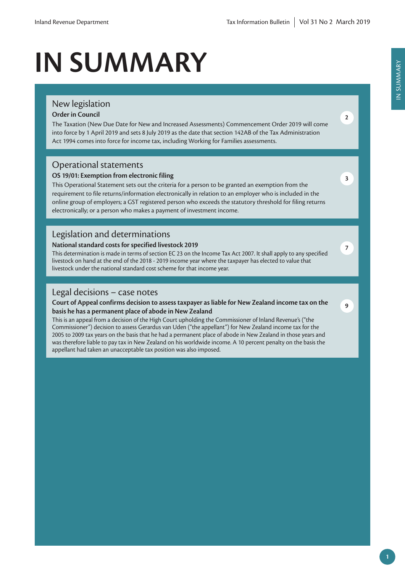# **IN SUMMARY**

# New legislation

### **Order in Council**

The Taxation (New Due Date for New and Increased Assessments) Commencement Order 2019 will come into force by 1 April 2019 and sets 8 July 2019 as the date that section 142AB of the Tax Administration Act 1994 comes into force for income tax, including Working for Families assessments.

## Operational statements

### **OS 19/01: Exemption from electronic filing**

This Operational Statement sets out the criteria for a person to be granted an exemption from the requirement to file returns/information electronically in relation to an employer who is included in the online group of employers; a GST registered person who exceeds the statutory threshold for filing returns electronically; or a person who makes a payment of investment income.

## Legislation and determinations

### **National standard costs for specified livestock 2019**

This determination is made in terms of section EC 23 on the Income Tax Act 2007. It shall apply to any specified livestock on hand at the end of the 2018 - 2019 income year where the taxpayer has elected to value that livestock under the national standard cost scheme for that income year.

### Legal decisions – case notes

### **Court of Appeal confirms decision to assess taxpayer as liable for New Zealand income tax on the basis he has a permanent place of abode in New Zealand**

This is an appeal from a decision of the High Court upholding the Commissioner of Inland Revenue's ("the Commissioner") decision to assess Gerardus van Uden ("the appellant") for New Zealand income tax for the 2005 to 2009 tax years on the basis that he had a permanent place of abode in New Zealand in those years and was therefore liable to pay tax in New Zealand on his worldwide income. A 10 percent penalty on the basis the appellant had taken an unacceptable tax position was also imposed.

**2**

**3**

**7**

**9**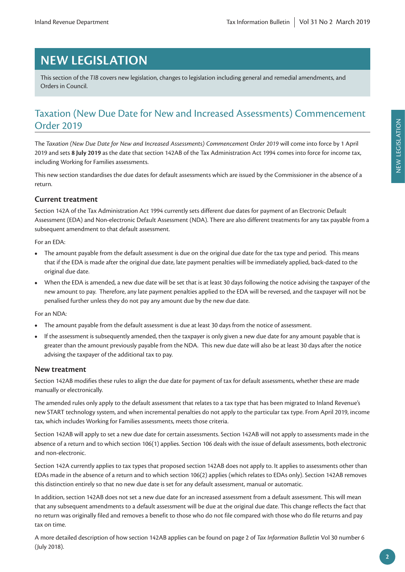# **NEW LEGISLATION**

This section of the *TIB* covers new legislation, changes to legislation including general and remedial amendments, and Orders in Council.

# Taxation (New Due Date for New and Increased Assessments) Commencement Order 2019

The *Taxation (New Due Date for New and Increased Assessments) Commencement Order 2019* will come into force by 1 April 2019 and sets **8 July 2019** as the date that section 142AB of the Tax Administration Act 1994 comes into force for income tax, including Working for Families assessments.

This new section standardises the due dates for default assessments which are issued by the Commissioner in the absence of a return.

### **Current treatment**

Section 142A of the Tax Administration Act 1994 currently sets different due dates for payment of an Electronic Default Assessment (EDA) and Non-electronic Default Assessment (NDA). There are also different treatments for any tax payable from a subsequent amendment to that default assessment.

For an EDA:

- **•** The amount payable from the default assessment is due on the original due date for the tax type and period. This means that if the EDA is made after the original due date, late payment penalties will be immediately applied, back-dated to the original due date.
- **•** When the EDA is amended, a new due date will be set that is at least 30 days following the notice advising the taxpayer of the new amount to pay. Therefore, any late payment penalties applied to the EDA will be reversed, and the taxpayer will not be penalised further unless they do not pay any amount due by the new due date.

For an NDA:

- **•** The amount payable from the default assessment is due at least 30 days from the notice of assessment.
- **•** If the assessment is subsequently amended, then the taxpayer is only given a new due date for any amount payable that is greater than the amount previously payable from the NDA. This new due date will also be at least 30 days after the notice advising the taxpayer of the additional tax to pay.

### **New treatment**

Section 142AB modifies these rules to align the due date for payment of tax for default assessments, whether these are made manually or electronically.

The amended rules only apply to the default assessment that relates to a tax type that has been migrated to Inland Revenue's new START technology system, and when incremental penalties do not apply to the particular tax type. From April 2019, income tax, which includes Working for Families assessments, meets those criteria.

Section 142AB will apply to set a new due date for certain assessments. Section 142AB will not apply to assessments made in the absence of a return and to which section 106(1) applies. Section 106 deals with the issue of default assessments, both electronic and non-electronic.

Section 142A currently applies to tax types that proposed section 142AB does not apply to. It applies to assessments other than EDAs made in the absence of a return and to which section 106(2) applies (which relates to EDAs only). Section 142AB removes this distinction entirely so that no new due date is set for any default assessment, manual or automatic.

In addition, section 142AB does not set a new due date for an increased assessment from a default assessment. This will mean that any subsequent amendments to a default assessment will be due at the original due date. This change reflects the fact that no return was originally filed and removes a benefit to those who do not file compared with those who do file returns and pay tax on time.

A more detailed description of how section 142AB applies can be found on page 2 of *Tax Information Bulletin* Vol 30 number 6 (July 2018).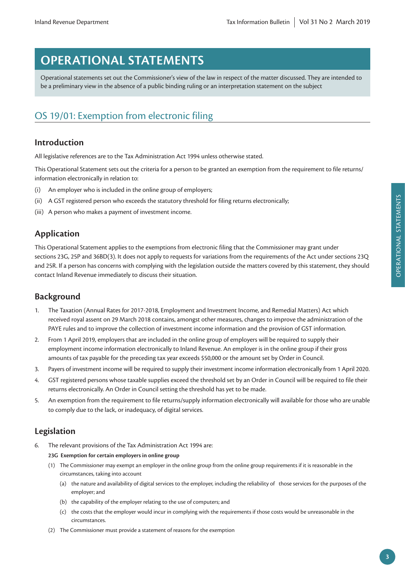# **OPERATIONAL STATEMENTS**

Operational statements set out the Commissioner's view of the law in respect of the matter discussed. They are intended to be a preliminary view in the absence of a public binding ruling or an interpretation statement on the subject

# OS 19/01: Exemption from electronic filing

### **Introduction**

All legislative references are to the Tax Administration Act 1994 unless otherwise stated.

This Operational Statement sets out the criteria for a person to be granted an exemption from the requirement to file returns/ information electronically in relation to:

- (i) An employer who is included in the online group of employers;
- (ii) A GST registered person who exceeds the statutory threshold for filing returns electronically;
- (iii) A person who makes a payment of investment income.

### **Application**

This Operational Statement applies to the exemptions from electronic filing that the Commissioner may grant under sections 23G, 25P and 36BD(3). It does not apply to requests for variations from the requirements of the Act under sections 23Q and 25R. If a person has concerns with complying with the legislation outside the matters covered by this statement, they should contact Inland Revenue immediately to discuss their situation.

### **Background**

- 1. The Taxation (Annual Rates for 2017-2018, Employment and Investment Income, and Remedial Matters) Act which received royal assent on 29 March 2018 contains, amongst other measures, changes to improve the administration of the PAYE rules and to improve the collection of investment income information and the provision of GST information.
- 2. From 1 April 2019, employers that are included in the online group of employers will be required to supply their employment income information electronically to Inland Revenue. An employer is in the online group if their gross amounts of tax payable for the preceding tax year exceeds \$50,000 or the amount set by Order in Council.
- 3. Payers of investment income will be required to supply their investment income information electronically from 1 April 2020.
- 4. GST registered persons whose taxable supplies exceed the threshold set by an Order in Council will be required to file their returns electronically. An Order in Council setting the threshold has yet to be made.
- 5. An exemption from the requirement to file returns/supply information electronically will available for those who are unable to comply due to the lack, or inadequacy, of digital services.

### **Legislation**

6. The relevant provisions of the Tax Administration Act 1994 are:

#### **23G Exemption for certain employers in online group**

- (1) The Commissioner may exempt an employer in the online group from the online group requirements if it is reasonable in the circumstances, taking into account
	- (a) the nature and availability of digital services to the employer, including the reliability of those services for the purposes of the employer; and
	- (b) the capability of the employer relating to the use of computers; and
	- (c) the costs that the employer would incur in complying with the requirements if those costs would be unreasonable in the circumstances.
- (2) The Commissioner must provide a statement of reasons for the exemption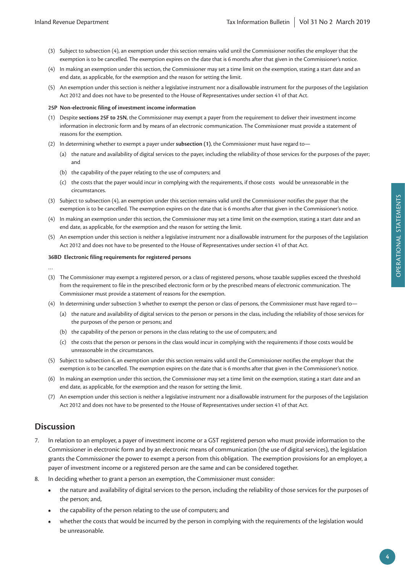- (3) Subject to subsection (4), an exemption under this section remains valid until the Commissioner notifies the employer that the exemption is to be cancelled. The exemption expires on the date that is 6 months after that given in the Commissioner's notice.
- (4) In making an exemption under this section, the Commissioner may set a time limit on the exemption, stating a start date and an end date, as applicable, for the exemption and the reason for setting the limit.
- (5) An exemption under this section is neither a legislative instrument nor a disallowable instrument for the purposes of the Legislation Act 2012 and does not have to be presented to the House of Representatives under section 41 of that Act.

#### **25P Non-electronic filing of investment income information**

- (1) Despite **sections 25F to 25N**, the Commissioner may exempt a payer from the requirement to deliver their investment income information in electronic form and by means of an electronic communication. The Commissioner must provide a statement of reasons for the exemption.
- (2) In determining whether to exempt a payer under **subsection (1)**, the Commissioner must have regard to—
	- (a) the nature and availability of digital services to the payer, including the reliability of those services for the purposes of the payer; and
	- (b) the capability of the payer relating to the use of computers; and
	- (c) the costs that the payer would incur in complying with the requirements, if those costs would be unreasonable in the circumstances.
- (3) Subject to subsection (4), an exemption under this section remains valid until the Commissioner notifies the payer that the exemption is to be cancelled. The exemption expires on the date that is 6 months after that given in the Commissioner's notice.
- (4) In making an exemption under this section, the Commissioner may set a time limit on the exemption, stating a start date and an end date, as applicable, for the exemption and the reason for setting the limit.
- (5) An exemption under this section is neither a legislative instrument nor a disallowable instrument for the purposes of the Legislation Act 2012 and does not have to be presented to the House of Representatives under section 41 of that Act.

#### **36BD Electronic filing requirements for registered persons**

- …
- (3) The Commissioner may exempt a registered person, or a class of registered persons, whose taxable supplies exceed the threshold from the requirement to file in the prescribed electronic form or by the prescribed means of electronic communication. The Commissioner must provide a statement of reasons for the exemption.
- (4) In determining under subsection 3 whether to exempt the person or class of persons, the Commissioner must have regard to—
	- (a) the nature and availability of digital services to the person or persons in the class, including the reliability of those services for the purposes of the person or persons; and
	- (b) the capability of the person or persons in the class relating to the use of computers; and
	- (c) the costs that the person or persons in the class would incur in complying with the requirements if those costs would be unreasonable in the circumstances.
- (5) Subject to subsection 6, an exemption under this section remains valid until the Commissioner notifies the employer that the exemption is to be cancelled. The exemption expires on the date that is 6 months after that given in the Commissioner's notice.
- (6) In making an exemption under this section, the Commissioner may set a time limit on the exemption, stating a start date and an end date, as applicable, for the exemption and the reason for setting the limit.
- (7) An exemption under this section is neither a legislative instrument nor a disallowable instrument for the purposes of the Legislation Act 2012 and does not have to be presented to the House of Representatives under section 41 of that Act.

### **Discussion**

- 7. In relation to an employer, a payer of investment income or a GST registered person who must provide information to the Commissioner in electronic form and by an electronic means of communication (the use of digital services), the legislation grants the Commissioner the power to exempt a person from this obligation. The exemption provisions for an employer, a payer of investment income or a registered person are the same and can be considered together.
- 8. In deciding whether to grant a person an exemption, the Commissioner must consider:
	- **•** the nature and availability of digital services to the person, including the reliability of those services for the purposes of the person; and,
	- **•** the capability of the person relating to the use of computers; and
	- **•** whether the costs that would be incurred by the person in complying with the requirements of the legislation would be unreasonable.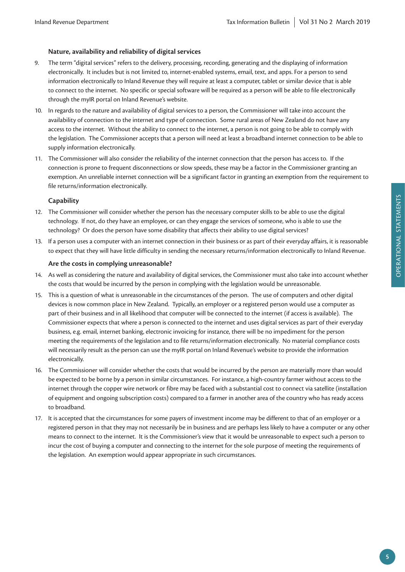### **Nature, availability and reliability of digital services**

- 9. The term "digital services" refers to the delivery, processing, recording, generating and the displaying of information electronically. It includes but is not limited to, internet-enabled systems, email, text, and apps. For a person to send information electronically to Inland Revenue they will require at least a computer, tablet or similar device that is able to connect to the internet. No specific or special software will be required as a person will be able to file electronically through the myIR portal on Inland Revenue's website.
- 10. In regards to the nature and availability of digital services to a person, the Commissioner will take into account the availability of connection to the internet and type of connection. Some rural areas of New Zealand do not have any access to the internet. Without the ability to connect to the internet, a person is not going to be able to comply with the legislation. The Commissioner accepts that a person will need at least a broadband internet connection to be able to supply information electronically.
- 11. The Commissioner will also consider the reliability of the internet connection that the person has access to. If the connection is prone to frequent disconnections or slow speeds, these may be a factor in the Commissioner granting an exemption. An unreliable internet connection will be a significant factor in granting an exemption from the requirement to file returns/information electronically.

### **Capability**

- 12. The Commissioner will consider whether the person has the necessary computer skills to be able to use the digital technology. If not, do they have an employee, or can they engage the services of someone, who is able to use the technology? Or does the person have some disability that affects their ability to use digital services?
- 13. If a person uses a computer with an internet connection in their business or as part of their everyday affairs, it is reasonable to expect that they will have little difficulty in sending the necessary returns/information electronically to Inland Revenue.

### **Are the costs in complying unreasonable?**

- 14. As well as considering the nature and availability of digital services, the Commissioner must also take into account whether the costs that would be incurred by the person in complying with the legislation would be unreasonable.
- 15. This is a question of what is unreasonable in the circumstances of the person. The use of computers and other digital devices is now common place in New Zealand. Typically, an employer or a registered person would use a computer as part of their business and in all likelihood that computer will be connected to the internet (if access is available). The Commissioner expects that where a person is connected to the internet and uses digital services as part of their everyday business, e.g. email, internet banking, electronic invoicing for instance, there will be no impediment for the person meeting the requirements of the legislation and to file returns/information electronically. No material compliance costs will necessarily result as the person can use the myIR portal on Inland Revenue's website to provide the information electronically.
- 16. The Commissioner will consider whether the costs that would be incurred by the person are materially more than would be expected to be borne by a person in similar circumstances. For instance, a high-country farmer without access to the internet through the copper wire network or fibre may be faced with a substantial cost to connect via satellite (installation of equipment and ongoing subscription costs) compared to a farmer in another area of the country who has ready access to broadband.
- 17. It is accepted that the circumstances for some payers of investment income may be different to that of an employer or a registered person in that they may not necessarily be in business and are perhaps less likely to have a computer or any other means to connect to the internet. It is the Commissioner's view that it would be unreasonable to expect such a person to incur the cost of buying a computer and connecting to the internet for the sole purpose of meeting the requirements of the legislation. An exemption would appear appropriate in such circumstances.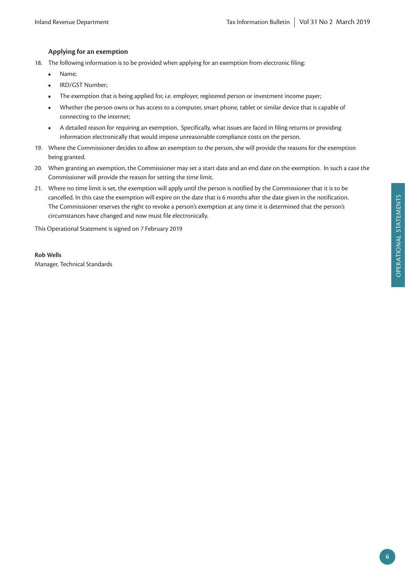### **Applying for an exemption**

- 18. The following information is to be provided when applying for an exemption from electronic filing:
	- **•** Name;
	- **•** IRD/GST Number;
	- The exemption that is being applied for, i.e. employer, registered person or investment income payer;
	- **•** Whether the person owns or has access to a computer, smart phone, tablet or similar device that is capable of connecting to the internet;
	- **•** A detailed reason for requiring an exemption. Specifically, what issues are faced in filing returns or providing information electronically that would impose unreasonable compliance costs on the person.
- 19. Where the Commissioner decides to allow an exemption to the person, she will provide the reasons for the exemption being granted.
- 20. When granting an exemption, the Commissioner may set a start date and an end date on the exemption. In such a case the Commissioner will provide the reason for setting the time limit.
- 21. Where no time limit is set, the exemption will apply until the person is notified by the Commissioner that it is to be cancelled. In this case the exemption will expire on the date that is 6 months after the date given in the notification. The Commissioner reserves the right to revoke a person's exemption at any time it is determined that the person's circumstances have changed and now must file electronically.

This Operational Statement is signed on 7 February 2019

### **Rob Wells**

Manager, Technical Standards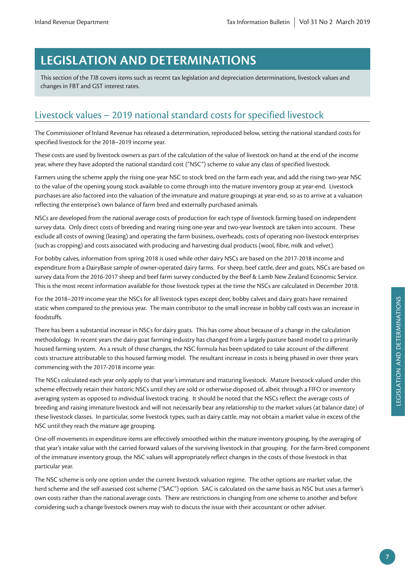# **LEGISLATION AND DETERMINATIONS**

This section of the *TIB* covers items such as recent tax legislation and depreciation determinations, livestock values and changes in FBT and GST interest rates.

# Livestock values – 2019 national standard costs for specified livestock

The Commissioner of Inland Revenue has released a determination, reproduced below, setting the national standard costs for specified livestock for the 2018–2019 income year.

These costs are used by livestock owners as part of the calculation of the value of livestock on hand at the end of the income year, where they have adopted the national standard cost ("NSC") scheme to value any class of specified livestock.

Farmers using the scheme apply the rising one-year NSC to stock bred on the farm each year, and add the rising two-year NSC to the value of the opening young stock available to come through into the mature inventory group at year-end. Livestock purchases are also factored into the valuation of the immature and mature groupings at year-end, so as to arrive at a valuation reflecting the enterprise's own balance of farm bred and externally purchased animals.

NSCs are developed from the national average costs of production for each type of livestock farming based on independent survey data. Only direct costs of breeding and rearing rising one-year and two-year livestock are taken into account. These exclude all costs of owning (leasing) and operating the farm business, overheads, costs of operating non-livestock enterprises (such as cropping) and costs associated with producing and harvesting dual products (wool, fibre, milk and velvet).

For bobby calves, information from spring 2018 is used while other dairy NSCs are based on the 2017-2018 income and expenditure from a DairyBase sample of owner-operated dairy farms. For sheep, beef cattle, deer and goats, NSCs are based on survey data from the 2016-2017 sheep and beef farm survey conducted by the Beef & Lamb New Zealand Economic Service. This is the most recent information available for those livestock types at the time the NSCs are calculated in December 2018.

For the 2018–2019 income year the NSCs for all livestock types except deer, bobby calves and dairy goats have remained static when compared to the previous year. The main contributor to the small increase in bobby calf costs was an increase in foodstuffs.

There has been a substantial increase in NSCs for dairy goats. This has come about because of a change in the calculation methodology. In recent years the dairy goat farming industry has changed from a largely pasture based model to a primarily housed farming system. As a result of these changes, the NSC formula has been updated to take account of the different costs structure attributable to this housed farming model. The resultant increase in costs is being phased in over three years commencing with the 2017-2018 income year.

The NSCs calculated each year only apply to that year's immature and maturing livestock. Mature livestock valued under this scheme effectively retain their historic NSCs until they are sold or otherwise disposed of, albeit through a FIFO or inventory averaging system as opposed to individual livestock tracing. It should be noted that the NSCs reflect the average costs of breeding and raising immature livestock and will not necessarily bear any relationship to the market values (at balance date) of these livestock classes. In particular, some livestock types, such as dairy cattle, may not obtain a market value in excess of the NSC until they reach the mature age grouping.

One-off movements in expenditure items are effectively smoothed within the mature inventory grouping, by the averaging of that year's intake value with the carried forward values of the surviving livestock in that grouping. For the farm-bred component of the immature inventory group, the NSC values will appropriately reflect changes in the costs of those livestock in that particular year.

The NSC scheme is only one option under the current livestock valuation regime. The other options are market value, the herd scheme and the self-assessed cost scheme ("SAC") option. SAC is calculated on the same basis as NSC but uses a farmer's own costs rather than the national average costs. There are restrictions in changing from one scheme to another and before considering such a change livestock owners may wish to discuss the issue with their accountant or other adviser.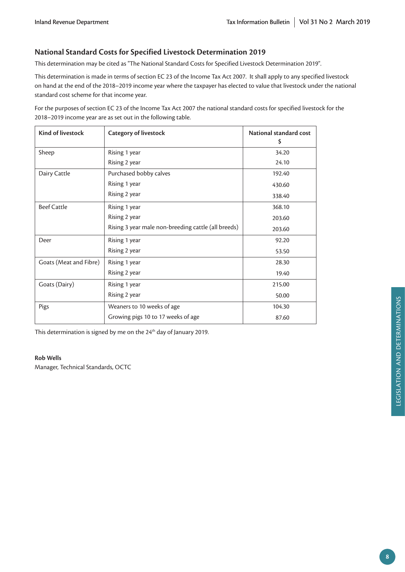### **National Standard Costs for Specified Livestock Determination 2019**

This determination may be cited as "The National Standard Costs for Specified Livestock Determination 2019".

This determination is made in terms of section EC 23 of the Income Tax Act 2007. It shall apply to any specified livestock on hand at the end of the 2018–2019 income year where the taxpayer has elected to value that livestock under the national standard cost scheme for that income year.

For the purposes of section EC 23 of the Income Tax Act 2007 the national standard costs for specified livestock for the 2018–2019 income year are as set out in the following table.

| <b>Kind of livestock</b> | <b>Category of livestock</b>                        | National standard cost<br>\$ |
|--------------------------|-----------------------------------------------------|------------------------------|
| Sheep                    | Rising 1 year                                       | 34.20                        |
|                          | Rising 2 year                                       | 24.10                        |
| Dairy Cattle             | Purchased bobby calves                              | 192.40                       |
|                          | Rising 1 year                                       | 430.60                       |
|                          | Rising 2 year                                       | 338.40                       |
| <b>Beef Cattle</b>       | Rising 1 year                                       | 368.10                       |
|                          | Rising 2 year                                       | 203.60                       |
|                          | Rising 3 year male non-breeding cattle (all breeds) | 203.60                       |
| Deer                     | Rising 1 year                                       | 92.20                        |
|                          | Rising 2 year                                       | 53.50                        |
| Goats (Meat and Fibre)   | Rising 1 year                                       | 28.30                        |
|                          | Rising 2 year                                       | 19.40                        |
| Goats (Dairy)            | Rising 1 year                                       | 215.00                       |
|                          | Rising 2 year                                       | 50.00                        |
| Pigs                     | Weaners to 10 weeks of age                          | 104.30                       |
|                          | Growing pigs 10 to 17 weeks of age                  | 87.60                        |

This determination is signed by me on the 24<sup>th</sup> day of January 2019.

#### **Rob Wells**

Manager, Technical Standards, OCTC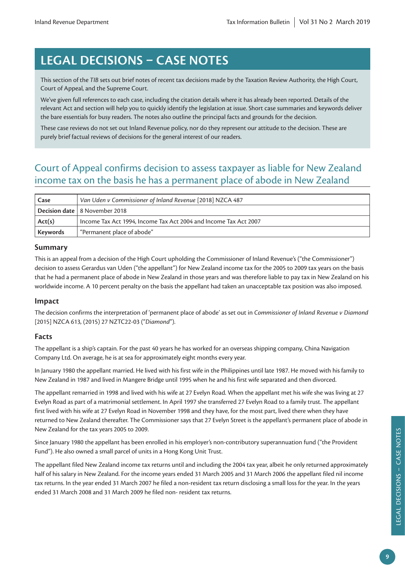# **LEGAL DECISIONS – CASE NOTES**

This section of the *TIB* sets out brief notes of recent tax decisions made by the Taxation Review Authority, the High Court, Court of Appeal, and the Supreme Court.

We've given full references to each case, including the citation details where it has already been reported. Details of the relevant Act and section will help you to quickly identify the legislation at issue. Short case summaries and keywords deliver the bare essentials for busy readers. The notes also outline the principal facts and grounds for the decision.

These case reviews do not set out Inland Revenue policy, nor do they represent our attitude to the decision. These are purely brief factual reviews of decisions for the general interest of our readers.

# Court of Appeal confirms decision to assess taxpayer as liable for New Zealand income tax on the basis he has a permanent place of abode in New Zealand

| Case     | Van Uden v Commissioner of Inland Revenue [2018] NZCA 487        |  |  |
|----------|------------------------------------------------------------------|--|--|
|          | <b>Decision date   8 November 2018</b>                           |  |  |
| Act(s)   | Income Tax Act 1994, Income Tax Act 2004 and Income Tax Act 2007 |  |  |
| Keywords | "Permanent place of abode"                                       |  |  |

### **Summary**

This is an appeal from a decision of the High Court upholding the Commissioner of Inland Revenue's ("the Commissioner") decision to assess Gerardus van Uden ("the appellant") for New Zealand income tax for the 2005 to 2009 tax years on the basis that he had a permanent place of abode in New Zealand in those years and was therefore liable to pay tax in New Zealand on his worldwide income. A 10 percent penalty on the basis the appellant had taken an unacceptable tax position was also imposed.

### **Impact**

The decision confirms the interpretation of 'permanent place of abode' as set out in *Commissioner of Inland Revenue v Diamond*  [2015] NZCA 613, (2015) 27 NZTC22-03 ("*Diamond*").

### **Facts**

The appellant is a ship's captain. For the past 40 years he has worked for an overseas shipping company, China Navigation Company Ltd. On average, he is at sea for approximately eight months every year.

In January 1980 the appellant married. He lived with his first wife in the Philippines until late 1987. He moved with his family to New Zealand in 1987 and lived in Mangere Bridge until 1995 when he and his first wife separated and then divorced.

The appellant remarried in 1998 and lived with his wife at 27 Evelyn Road. When the appellant met his wife she was living at 27 Evelyn Road as part of a matrimonial settlement. In April 1997 she transferred 27 Evelyn Road to a family trust. The appellant first lived with his wife at 27 Evelyn Road in November 1998 and they have, for the most part, lived there when they have returned to New Zealand thereafter. The Commissioner says that 27 Evelyn Street is the appellant's permanent place of abode in New Zealand for the tax years 2005 to 2009.

Since January 1980 the appellant has been enrolled in his employer's non-contributory superannuation fund ("the Provident Fund"). He also owned a small parcel of units in a Hong Kong Unit Trust.

The appellant filed New Zealand income tax returns until and including the 2004 tax year, albeit he only returned approximately half of his salary in New Zealand. For the income years ended 31 March 2005 and 31 March 2006 the appellant filed nil income tax returns. In the year ended 31 March 2007 he filed a non-resident tax return disclosing a small loss for the year. In the years ended 31 March 2008 and 31 March 2009 he filed non- resident tax returns.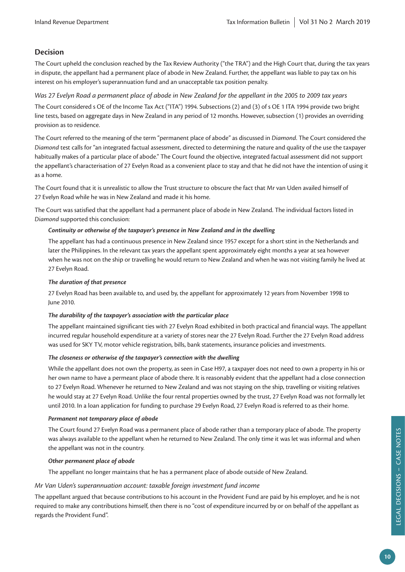### **Decision**

The Court upheld the conclusion reached by the Tax Review Authority ("the TRA") and the High Court that, during the tax years in dispute, the appellant had a permanent place of abode in New Zealand. Further, the appellant was liable to pay tax on his interest on his employer's superannuation fund and an unacceptable tax position penalty.

### *Was 27 Evelyn Road a permanent place of abode in New Zealand for the appellant in the 2005 to 2009 tax years*

The Court considered s OE of the Income Tax Act ("ITA") 1994. Subsections (2) and (3) of s OE 1 ITA 1994 provide two bright line tests, based on aggregate days in New Zealand in any period of 12 months. However, subsection (1) provides an overriding provision as to residence.

The Court referred to the meaning of the term "permanent place of abode" as discussed in *Diamond*. The Court considered the *Diamond* test calls for "an integrated factual assessment, directed to determining the nature and quality of the use the taxpayer habitually makes of a particular place of abode." The Court found the objective, integrated factual assessment did not support the appellant's characterisation of 27 Evelyn Road as a convenient place to stay and that he did not have the intention of using it as a home.

The Court found that it is unrealistic to allow the Trust structure to obscure the fact that Mr van Uden availed himself of 27 Evelyn Road while he was in New Zealand and made it his home.

The Court was satisfied that the appellant had a permanent place of abode in New Zealand. The individual factors listed in *Diamond* supported this conclusion:

### *Continuity or otherwise of the taxpayer's presence in New Zealand and in the dwelling*

The appellant has had a continuous presence in New Zealand since 1957 except for a short stint in the Netherlands and later the Philippines. In the relevant tax years the appellant spent approximately eight months a year at sea however when he was not on the ship or travelling he would return to New Zealand and when he was not visiting family he lived at 27 Evelyn Road.

#### *The duration of that presence*

27 Evelyn Road has been available to, and used by, the appellant for approximately 12 years from November 1998 to June 2010.

#### *The durability of the taxpayer's association with the particular place*

The appellant maintained significant ties with 27 Evelyn Road exhibited in both practical and financial ways. The appellant incurred regular household expenditure at a variety of stores near the 27 Evelyn Road. Further the 27 Evelyn Road address was used for SKY TV, motor vehicle registration, bills, bank statements, insurance policies and investments.

#### *The closeness or otherwise of the taxpayer's connection with the dwelling*

While the appellant does not own the property, as seen in Case H97, a taxpayer does not need to own a property in his or her own name to have a permeant place of abode there. It is reasonably evident that the appellant had a close connection to 27 Evelyn Road. Whenever he returned to New Zealand and was not staying on the ship, travelling or visiting relatives he would stay at 27 Evelyn Road. Unlike the four rental properties owned by the trust, 27 Evelyn Road was not formally let until 2010. In a loan application for funding to purchase 29 Evelyn Road, 27 Evelyn Road is referred to as their home.

#### *Permanent not temporary place of abode*

The Court found 27 Evelyn Road was a permanent place of abode rather than a temporary place of abode. The property was always available to the appellant when he returned to New Zealand. The only time it was let was informal and when the appellant was not in the country.

#### *Other permanent place of abode*

The appellant no longer maintains that he has a permanent place of abode outside of New Zealand.

#### *Mr Van Uden's superannuation account: taxable foreign investment fund income*

The appellant argued that because contributions to his account in the Provident Fund are paid by his employer, and he is not required to make any contributions himself, then there is no "cost of expenditure incurred by or on behalf of the appellant as regards the Provident Fund".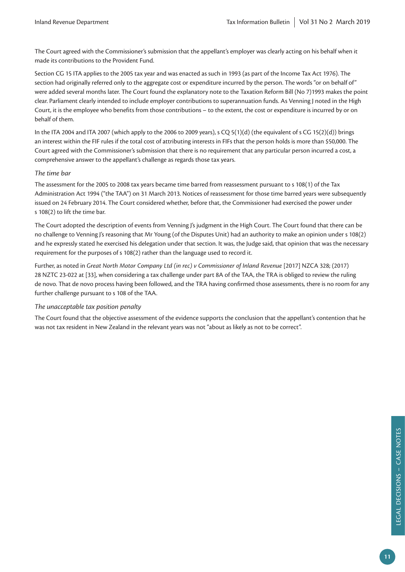The Court agreed with the Commissioner's submission that the appellant's employer was clearly acting on his behalf when it made its contributions to the Provident Fund.

Section CG 15 ITA applies to the 2005 tax year and was enacted as such in 1993 (as part of the Income Tax Act 1976). The section had originally referred only to the aggregate cost or expenditure incurred by the person. The words "or on behalf of" were added several months later. The Court found the explanatory note to the Taxation Reform Bill (No 7)1993 makes the point clear. Parliament clearly intended to include employer contributions to superannuation funds. As Venning J noted in the High Court, it is the employee who benefits from those contributions – to the extent, the cost or expenditure is incurred by or on behalf of them.

In the ITA 2004 and ITA 2007 (which apply to the 2006 to 2009 years), s CQ  $5(1)(d)$  (the equivalent of s CG 15(2)(d)) brings an interest within the FIF rules if the total cost of attributing interests in FIFs that the person holds is more than \$50,000. The Court agreed with the Commissioner's submission that there is no requirement that any particular person incurred a cost, a comprehensive answer to the appellant's challenge as regards those tax years.

### *The time bar*

The assessment for the 2005 to 2008 tax years became time barred from reassessment pursuant to s 108(1) of the Tax Administration Act 1994 ("the TAA") on 31 March 2013. Notices of reassessment for those time barred years were subsequently issued on 24 February 2014. The Court considered whether, before that, the Commissioner had exercised the power under s 108(2) to lift the time bar.

The Court adopted the description of events from Venning J's judgment in the High Court. The Court found that there can be no challenge to Venning J's reasoning that Mr Young (of the Disputes Unit) had an authority to make an opinion under s 108(2) and he expressly stated he exercised his delegation under that section. It was, the Judge said, that opinion that was the necessary requirement for the purposes of s 108(2) rather than the language used to record it.

Further, as noted in *Great North Motor Company Ltd (in rec) v Commissioner of Inland Revenue* [2017] NZCA 328; (2017) 28 NZTC 23-022 at [33], when considering a tax challenge under part 8A of the TAA, the TRA is obliged to review the ruling de novo. That de novo process having been followed, and the TRA having confirmed those assessments, there is no room for any further challenge pursuant to s 108 of the TAA.

### *The unacceptable tax position penalty*

The Court found that the objective assessment of the evidence supports the conclusion that the appellant's contention that he was not tax resident in New Zealand in the relevant years was not "about as likely as not to be correct".